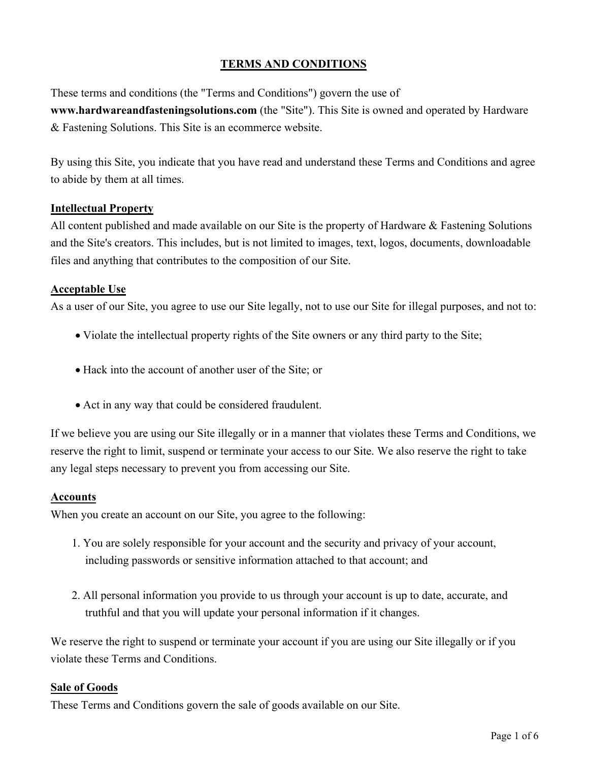# **TERMS AND CONDITIONS**

These terms and conditions (the "Terms and Conditions") govern the use of **www.hardwareandfasteningsolutions.com** (the "Site"). This Site is owned and operated by Hardware & Fastening Solutions. This Site is an ecommerce website.

By using this Site, you indicate that you have read and understand these Terms and Conditions and agree to abide by them at all times.

#### **Intellectual Property**

All content published and made available on our Site is the property of Hardware & Fastening Solutions and the Site's creators. This includes, but is not limited to images, text, logos, documents, downloadable files and anything that contributes to the composition of our Site.

#### **Acceptable Use**

As a user of our Site, you agree to use our Site legally, not to use our Site for illegal purposes, and not to:

- Violate the intellectual property rights of the Site owners or any third party to the Site;
- Hack into the account of another user of the Site; or
- Act in any way that could be considered fraudulent.

If we believe you are using our Site illegally or in a manner that violates these Terms and Conditions, we reserve the right to limit, suspend or terminate your access to our Site. We also reserve the right to take any legal steps necessary to prevent you from accessing our Site.

#### **Accounts**

When you create an account on our Site, you agree to the following:

- 1. You are solely responsible for your account and the security and privacy of your account, including passwords or sensitive information attached to that account; and
- 2. All personal information you provide to us through your account is up to date, accurate, and truthful and that you will update your personal information if it changes.

We reserve the right to suspend or terminate your account if you are using our Site illegally or if you violate these Terms and Conditions.

#### **Sale of Goods**

These Terms and Conditions govern the sale of goods available on our Site.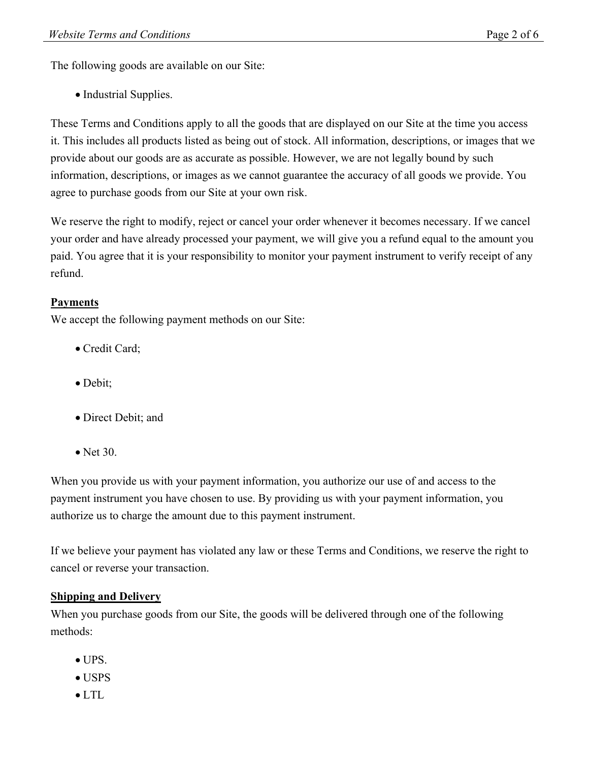The following goods are available on our Site:

• Industrial Supplies.

These Terms and Conditions apply to all the goods that are displayed on our Site at the time you access it. This includes all products listed as being out of stock. All information, descriptions, or images that we provide about our goods are as accurate as possible. However, we are not legally bound by such information, descriptions, or images as we cannot guarantee the accuracy of all goods we provide. You agree to purchase goods from our Site at your own risk.

We reserve the right to modify, reject or cancel your order whenever it becomes necessary. If we cancel your order and have already processed your payment, we will give you a refund equal to the amount you paid. You agree that it is your responsibility to monitor your payment instrument to verify receipt of any refund.

## **Payments**

We accept the following payment methods on our Site:

- Credit Card;
- Debit:
- Direct Debit; and
- Net 30.

When you provide us with your payment information, you authorize our use of and access to the payment instrument you have chosen to use. By providing us with your payment information, you authorize us to charge the amount due to this payment instrument.

If we believe your payment has violated any law or these Terms and Conditions, we reserve the right to cancel or reverse your transaction.

### **Shipping and Delivery**

When you purchase goods from our Site, the goods will be delivered through one of the following methods:

- UPS.
- USPS
- $\bullet$  LTL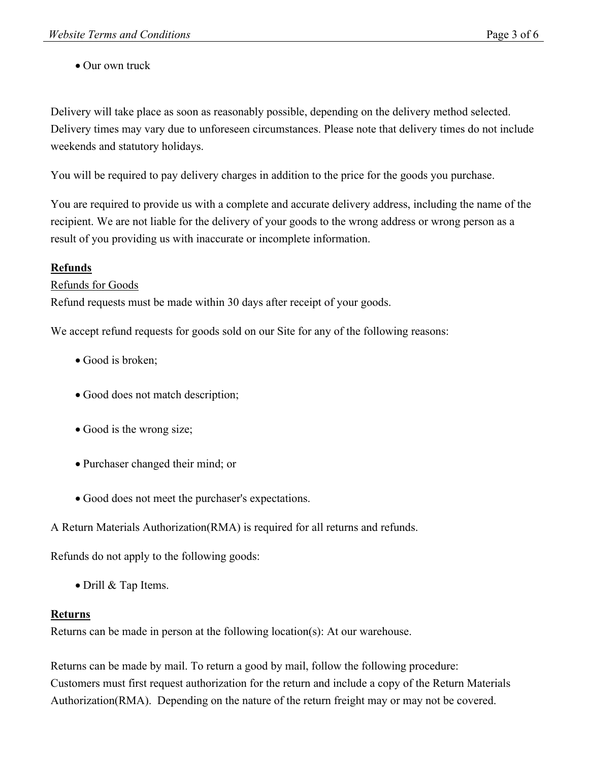• Our own truck

Delivery will take place as soon as reasonably possible, depending on the delivery method selected. Delivery times may vary due to unforeseen circumstances. Please note that delivery times do not include weekends and statutory holidays.

You will be required to pay delivery charges in addition to the price for the goods you purchase.

You are required to provide us with a complete and accurate delivery address, including the name of the recipient. We are not liable for the delivery of your goods to the wrong address or wrong person as a result of you providing us with inaccurate or incomplete information.

## **Refunds**

### Refunds for Goods

Refund requests must be made within 30 days after receipt of your goods.

We accept refund requests for goods sold on our Site for any of the following reasons:

- Good is broken;
- Good does not match description;
- Good is the wrong size;
- Purchaser changed their mind; or
- Good does not meet the purchaser's expectations.

A Return Materials Authorization(RMA) is required for all returns and refunds.

Refunds do not apply to the following goods:

• Drill & Tap Items.

### **Returns**

Returns can be made in person at the following location(s): At our warehouse.

Returns can be made by mail. To return a good by mail, follow the following procedure: Customers must first request authorization for the return and include a copy of the Return Materials Authorization(RMA). Depending on the nature of the return freight may or may not be covered.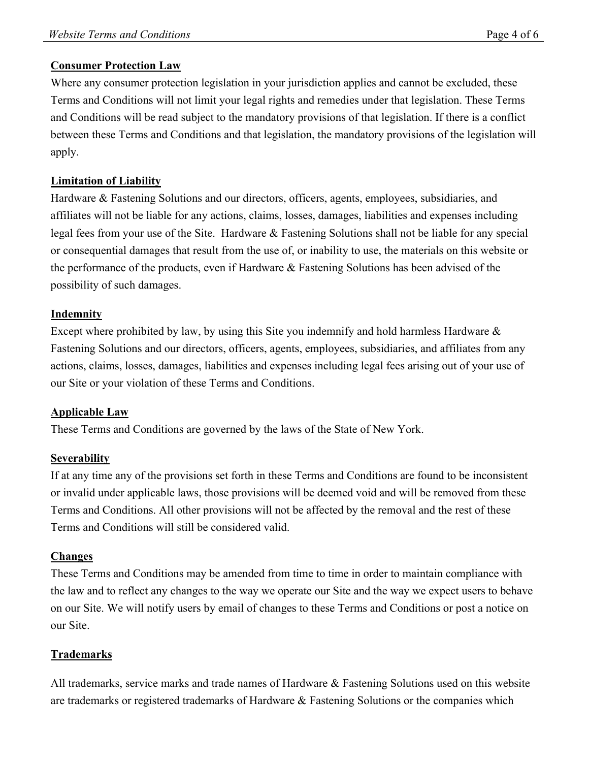## **Consumer Protection Law**

Where any consumer protection legislation in your jurisdiction applies and cannot be excluded, these Terms and Conditions will not limit your legal rights and remedies under that legislation. These Terms and Conditions will be read subject to the mandatory provisions of that legislation. If there is a conflict between these Terms and Conditions and that legislation, the mandatory provisions of the legislation will apply.

## **Limitation of Liability**

Hardware & Fastening Solutions and our directors, officers, agents, employees, subsidiaries, and affiliates will not be liable for any actions, claims, losses, damages, liabilities and expenses including legal fees from your use of the Site. Hardware & Fastening Solutions shall not be liable for any special or consequential damages that result from the use of, or inability to use, the materials on this website or the performance of the products, even if Hardware & Fastening Solutions has been advised of the possibility of such damages.

### **Indemnity**

Except where prohibited by law, by using this Site you indemnify and hold harmless Hardware & Fastening Solutions and our directors, officers, agents, employees, subsidiaries, and affiliates from any actions, claims, losses, damages, liabilities and expenses including legal fees arising out of your use of our Site or your violation of these Terms and Conditions.

### **Applicable Law**

These Terms and Conditions are governed by the laws of the State of New York.

# **Severability**

If at any time any of the provisions set forth in these Terms and Conditions are found to be inconsistent or invalid under applicable laws, those provisions will be deemed void and will be removed from these Terms and Conditions. All other provisions will not be affected by the removal and the rest of these Terms and Conditions will still be considered valid.

### **Changes**

These Terms and Conditions may be amended from time to time in order to maintain compliance with the law and to reflect any changes to the way we operate our Site and the way we expect users to behave on our Site. We will notify users by email of changes to these Terms and Conditions or post a notice on our Site.

# **Trademarks**

All trademarks, service marks and trade names of Hardware & Fastening Solutions used on this website are trademarks or registered trademarks of Hardware  $\&$  Fastening Solutions or the companies which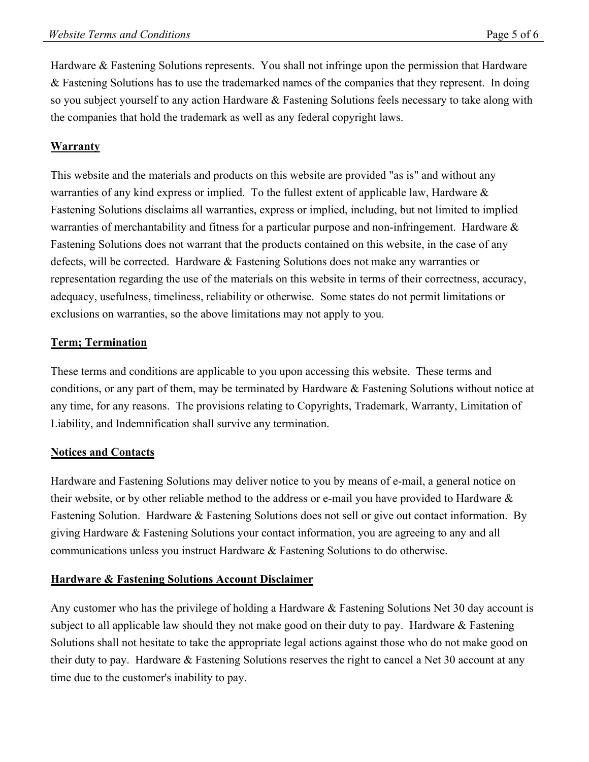Hardware & Fastening Solutions represents. You shall not infringe upon the permission that Hardware & Fastening Solutions has to use the trademarked names of the companies that they represent. In doing so you subject yourself to any action Hardware & Fastening Solutions feels necessary to take along with the companies that hold the trademark as well as any federal copyright laws.

# **Warranty**

This website and the materials and products on this website are provided "as is" and without any warranties of any kind express or implied. To the fullest extent of applicable law, Hardware  $\&$ Fastening Solutions disclaims all warranties, express or implied, including, but not limited to implied warranties of merchantability and fitness for a particular purpose and non-infringement. Hardware & Fastening Solutions does not warrant that the products contained on this website, in the case of any defects, will be corrected. Hardware & Fastening Solutions does not make any warranties or representation regarding the use of the materials on this website in terms of their correctness, accuracy, adequacy, usefulness, timeliness, reliability or otherwise. Some states do not permit limitations or exclusions on warranties, so the above limitations may not apply to you.

## **Term; Termination**

These terms and conditions are applicable to you upon accessing this website. These terms and conditions, or any part of them, may be terminated by Hardware  $\&$  Fastening Solutions without notice at any time, for any reasons. The provisions relating to Copyrights, Trademark, Warranty, Limitation of Liability, and Indemnification shall survive any termination.

# **Notices and Contacts**

Hardware and Fastening Solutions may deliver notice to you by means of e-mail, a general notice on their website, or by other reliable method to the address or e-mail you have provided to Hardware & Fastening Solution. Hardware & Fastening Solutions does not sell or give out contact information. By giving Hardware & Fastening Solutions your contact information, you are agreeing to any and all communications unless you instruct Hardware & Fastening Solutions to do otherwise.

### **Hardware & Fastening Solutions Account Disclaimer**

Any customer who has the privilege of holding a Hardware & Fastening Solutions Net 30 day account is subject to all applicable law should they not make good on their duty to pay. Hardware & Fastening Solutions shall not hesitate to take the appropriate legal actions against those who do not make good on their duty to pay. Hardware & Fastening Solutions reserves the right to cancel a Net 30 account at any time due to the customer's inability to pay.